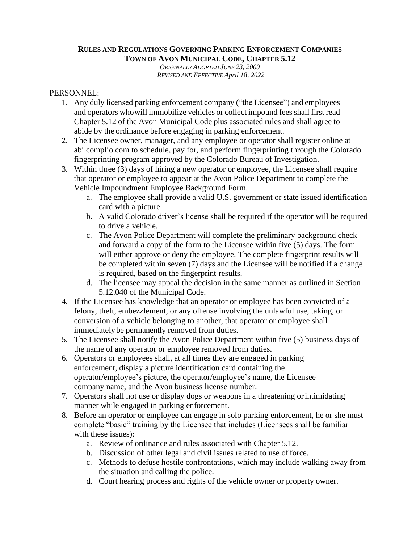## **RULES AND REGULATIONS GOVERNING PARKING ENFORCEMENT COMPANIES TOWN OF AVON MUNICIPAL CODE, CHAPTER 5.12**

*ORIGINALLY ADOPTED JUNE 23, 2009 REVISED AND EFFECTIVE April 18, 2022*

## PERSONNEL:

- 1. Any duly licensed parking enforcement company ("the Licensee") and employees and operators whowill immobilize vehicles or collect impound fees shall first read Chapter 5.12 of the Avon Municipal Code plus associated rules and shall agree to abide by the ordinance before engaging in parking enforcement.
- 2. The Licensee owner, manager, and any employee or operator shall register online at abi.complio.com to schedule, pay for, and perform fingerprinting through the Colorado fingerprinting program approved by the Colorado Bureau of Investigation.
- 3. Within three (3) days of hiring a new operator or employee, the Licensee shall require that operator or employee to appear at the Avon Police Department to complete the Vehicle Impoundment Employee Background Form.
	- a. The employee shall provide a valid U.S. government or state issued identification card with a picture.
	- b. A valid Colorado driver's license shall be required if the operator will be required to drive a vehicle.
	- c. The Avon Police Department will complete the preliminary background check and forward a copy of the form to the Licensee within five (5) days. The form will either approve or deny the employee. The complete fingerprint results will be completed within seven (7) days and the Licensee will be notified if a change is required, based on the fingerprint results.
	- d. The licensee may appeal the decision in the same manner as outlined in Section 5.12.040 of the Municipal Code.
- 4. If the Licensee has knowledge that an operator or employee has been convicted of a felony, theft, embezzlement, or any offense involving the unlawful use, taking, or conversion of a vehicle belonging to another, that operator or employee shall immediatelybe permanently removed from duties.
- 5. The Licensee shall notify the Avon Police Department within five (5) business days of the name of any operator or employee removed from duties.
- 6. Operators or employees shall, at all times they are engaged in parking enforcement, display a picture identification card containing the operator/employee's picture, the operator/employee's name, the Licensee company name, and the Avon business license number.
- 7. Operators shall not use or display dogs or weapons in a threatening orintimidating manner while engaged in parking enforcement.
- 8. Before an operator or employee can engage in solo parking enforcement, he or she must complete "basic" training by the Licensee that includes (Licensees shall be familiar with these issues):
	- a. Review of ordinance and rules associated with Chapter 5.12.
	- b. Discussion of other legal and civil issues related to use of force.
	- c. Methods to defuse hostile confrontations, which may include walking away from the situation and calling the police.
	- d. Court hearing process and rights of the vehicle owner or property owner.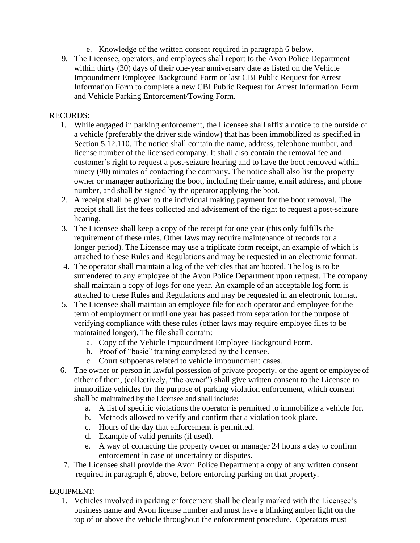- e. Knowledge of the written consent required in paragraph 6 below.
- 9. The Licensee, operators, and employees shall report to the Avon Police Department within thirty (30) days of their one-year anniversary date as listed on the Vehicle Impoundment Employee Background Form or last CBI Public Request for Arrest Information Form to complete a new CBI Public Request for Arrest Information Form and Vehicle Parking Enforcement/Towing Form.

### RECORDS:

- 1. While engaged in parking enforcement, the Licensee shall affix a notice to the outside of a vehicle (preferably the driver side window) that has been immobilized as specified in Section 5.12.110. The notice shall contain the name, address, telephone number, and license number of the licensed company. It shall also contain the removal fee and customer's right to request a post-seizure hearing and to have the boot removed within ninety (90) minutes of contacting the company. The notice shall also list the property owner or manager authorizing the boot, including their name, email address, and phone number, and shall be signed by the operator applying the boot.
- 2. A receipt shall be given to the individual making payment for the boot removal. The receipt shall list the fees collected and advisement of the right to request apost-seizure hearing.
- 3. The Licensee shall keep a copy of the receipt for one year (this only fulfills the requirement of these rules. Other laws may require maintenance of records for a longer period). The Licensee may use a triplicate form receipt, an example of which is attached to these Rules and Regulations and may be requested in an electronic format.
- 4. The operator shall maintain a log of the vehicles that are booted. The log is to be surrendered to any employee of the Avon Police Department upon request. The company shall maintain a copy of logs for one year. An example of an acceptable log form is attached to these Rules and Regulations and may be requested in an electronic format.
- 5. The Licensee shall maintain an employee file for each operator and employee for the term of employment or until one year has passed from separation for the purpose of verifying compliance with these rules (other laws may require employee files to be maintained longer). The file shall contain:
	- a. Copy of the Vehicle Impoundment Employee Background Form.
	- b. Proof of "basic" training completed by the licensee.
	- c. Court subpoenas related to vehicle impoundment cases.
- 6. The owner or person in lawful possession of private property, or the agent or employee of either of them, (collectively, "the owner") shall give written consent to the Licensee to immobilize vehicles for the purpose of parking violation enforcement, which consent shall be maintained by the Licensee and shall include:
	- a. A list of specific violations the operator is permitted to immobilize a vehicle for.
	- b. Methods allowed to verify and confirm that a violation took place.
	- c. Hours of the day that enforcement is permitted.
	- d. Example of valid permits (if used).
	- e. A way of contacting the property owner or manager 24 hours a day to confirm enforcement in case of uncertainty or disputes.
- 7. The Licensee shall provide the Avon Police Department a copy of any written consent required in paragraph 6, above, before enforcing parking on that property.

## EQUIPMENT:

1. Vehicles involved in parking enforcement shall be clearly marked with the Licensee's business name and Avon license number and must have a blinking amber light on the top of or above the vehicle throughout the enforcement procedure. Operators must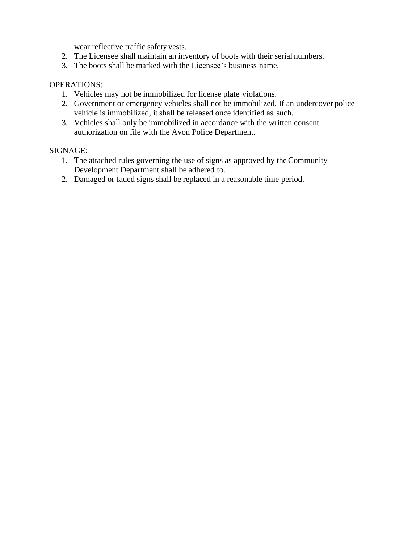wear reflective traffic safety vests.

- 2. The Licensee shall maintain an inventory of boots with their serial numbers.
- 3. The boots shall be marked with the Licensee's business name.

#### OPERATIONS:

- 1. Vehicles may not be immobilized for license plate violations.
- 2. Government or emergency vehicles shall not be immobilized. If an undercover police vehicle is immobilized, it shall be released once identified as such.
- 3. Vehicles shall only be immobilized in accordance with the written consent authorization on file with the Avon Police Department.

### SIGNAGE:

- 1. The attached rules governing the use of signs as approved by the Community Development Department shall be adhered to.
- 2. Damaged or faded signs shall be replaced in a reasonable time period.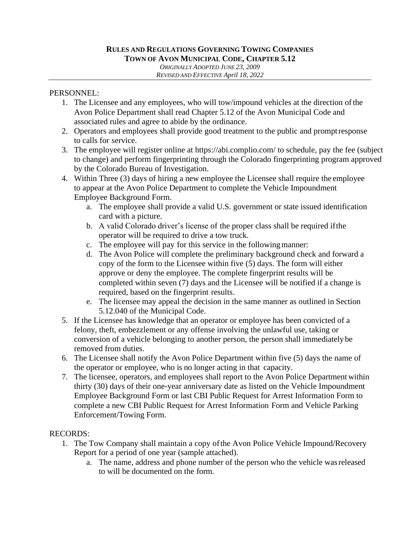## **RULES AND REGULATIONS GOVERNING TOWING COMPANIES TOWN OF AVON MUNICIPAL CODE, CHAPTER 5.12**

*ORIGINALLY ADOPTED JUNE 23, 2009 REVISED AND EFFECTIVE April 18, 2022*

### PERSONNEL:

- 1. The Licensee and any employees, who will tow/impound vehicles at the direction ofthe Avon Police Department shall read Chapter 5.12 of the Avon Municipal Code and associated rules and agree to abide by the ordinance.
- 2. Operators and employees shall provide good treatment to the public and promptresponse to calls for service.
- 3. The employee will register online at https://abi.complio.com/ to schedule, pay the fee (subject to change) and perform fingerprinting through the Colorado fingerprinting program approved by the Colorado Bureau of Investigation.
- 4. Within Three (3) days of hiring a new employee the Licensee shall require the employee to appear at the Avon Police Department to complete the Vehicle Impoundment Employee Background Form.
	- a. The employee shall provide a valid U.S. government or state issued identification card with a picture.
	- b. A valid Colorado driver's license of the proper class shall be required ifthe operator will be required to drive a tow truck.
	- c. The employee will pay for this service in the followingmanner:
	- d. The Avon Police will complete the preliminary background check and forward a copy of the form to the Licensee within five (5) days. The form will either approve or deny the employee. The complete fingerprint results will be completed within seven (7) days and the Licensee will be notified if a change is required, based on the fingerprint results.
	- e. The licensee may appeal the decision in the same manner as outlined in Section 5.12.040 of the Municipal Code.
- 5. If the Licensee has knowledge that an operator or employee has been convicted of a felony, theft, embezzlement or any offense involving the unlawful use, taking or conversion of a vehicle belonging to another person, the person shall immediately be removed from duties.
- 6. The Licensee shall notify the Avon Police Department within five (5) days the name of the operator or employee, who is no longer acting in that capacity.
- 7. The licensee, operators, and employees shall report to the Avon Police Department within thirty (30) days of their one-year anniversary date as listed on the Vehicle Impoundment Employee Background Form or last CBI Public Request for Arrest Information Form to complete a new CBI Public Request for Arrest Information Form and Vehicle Parking Enforcement/Towing Form.

## RECORDS:

- 1. The Tow Company shall maintain a copy ofthe Avon Police Vehicle Impound/Recovery Report for a period of one year (sample attached).
	- a. The name, address and phone number of the person who the vehicle wasreleased to will be documented on the form.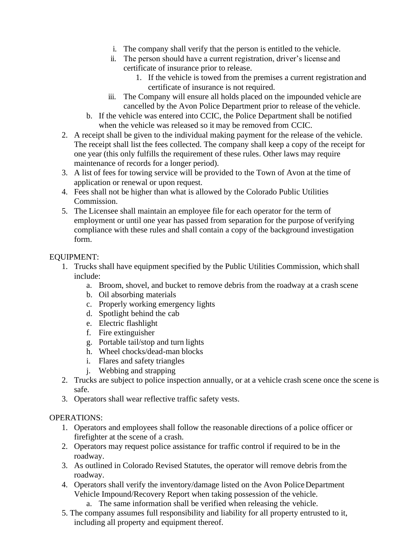- i. The company shall verify that the person is entitled to the vehicle.
- ii. The person should have a current registration, driver's license and certificate of insurance prior to release.
	- 1. If the vehicle is towed from the premises a current registration and certificate of insurance is not required.
- iii. The Company will ensure all holds placed on the impounded vehicle are cancelled by the Avon Police Department prior to release of the vehicle.
- b. If the vehicle was entered into CCIC, the Police Department shall be notified when the vehicle was released so it may be removed from CCIC.
- 2. A receipt shall be given to the individual making payment for the release of the vehicle. The receipt shall list the fees collected. The company shall keep a copy of the receipt for one year (this only fulfills the requirement of these rules. Other laws may require maintenance of records for a longer period).
- 3. A list of fees for towing service will be provided to the Town of Avon at the time of application or renewal or upon request.
- 4. Fees shall not be higher than what is allowed by the Colorado Public Utilities Commission.
- 5. The Licensee shall maintain an employee file for each operator for the term of employment or until one year has passed from separation for the purpose of verifying compliance with these rules and shall contain a copy of the background investigation form.

## EQUIPMENT:

- 1. Trucks shall have equipment specified by the Public Utilities Commission, which shall include:
	- a. Broom, shovel, and bucket to remove debris from the roadway at a crash scene
	- b. Oil absorbing materials
	- c. Properly working emergency lights
	- d. Spotlight behind the cab
	- e. Electric flashlight
	- f. Fire extinguisher
	- g. Portable tail/stop and turn lights
	- h. Wheel chocks/dead-man blocks
	- i. Flares and safety triangles
	- j. Webbing and strapping
- 2. Trucks are subject to police inspection annually, or at a vehicle crash scene once the scene is safe.
- 3. Operators shall wear reflective traffic safety vests.

## OPERATIONS:

- 1. Operators and employees shall follow the reasonable directions of a police officer or firefighter at the scene of a crash.
- 2. Operators may request police assistance for traffic control if required to be in the roadway.
- 3. As outlined in Colorado Revised Statutes, the operator will remove debris from the roadway.
- 4. Operators shall verify the inventory/damage listed on the Avon PoliceDepartment Vehicle Impound/Recovery Report when taking possession of the vehicle.
	- a. The same information shall be verified when releasing the vehicle.
- 5. The company assumes full responsibility and liability for all property entrusted to it, including all property and equipment thereof.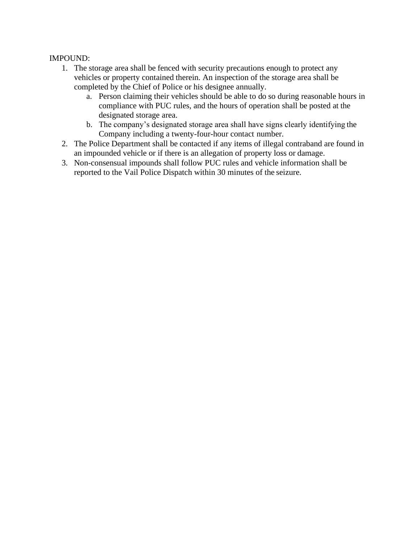## IMPOUND:

- 1. The storage area shall be fenced with security precautions enough to protect any vehicles or property contained therein. An inspection of the storage area shall be completed by the Chief of Police or his designee annually.
	- a. Person claiming their vehicles should be able to do so during reasonable hours in compliance with PUC rules, and the hours of operation shall be posted at the designated storage area.
	- b. The company's designated storage area shall have signs clearly identifying the Company including a twenty-four-hour contact number.
- 2. The Police Department shall be contacted if any items of illegal contraband are found in an impounded vehicle or if there is an allegation of property loss or damage.
- 3. Non-consensual impounds shall follow PUC rules and vehicle information shall be reported to the Vail Police Dispatch within 30 minutes of the seizure.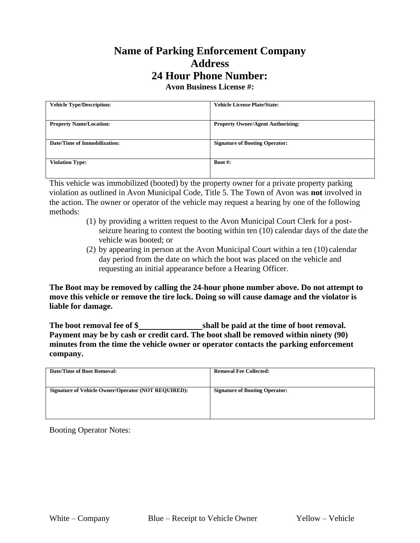# **Name of Parking Enforcement Company Address 24 Hour Phone Number:**

**Avon Business License #:**

| <b>Vehicle Type/Description:</b> | <b>Vehicle License Plate/State:</b>      |
|----------------------------------|------------------------------------------|
| <b>Property Name/Location:</b>   | <b>Property Owner/Agent Authorizing:</b> |
| Date/Time of Immobilization:     | <b>Signature of Booting Operator:</b>    |
| <b>Violation Type:</b>           | Boot #:                                  |

This vehicle was immobilized (booted) by the property owner for a private property parking violation as outlined in Avon Municipal Code, Title 5. The Town of Avon was **not** involved in the action. The owner or operator of the vehicle may request a hearing by one of the following methods:

- (1) by providing a written request to the Avon Municipal Court Clerk for a postseizure hearing to contest the booting within ten (10) calendar days of the date the vehicle was booted; or
- (2) by appearing in person at the Avon Municipal Court within a ten (10) calendar day period from the date on which the boot was placed on the vehicle and requesting an initial appearance before a Hearing Officer.

**The Boot may be removed by calling the 24-hour phone number above. Do not attempt to move this vehicle or remove the tire lock. Doing so will cause damage and the violator is liable for damage.**

**The boot removal fee of \$ shall be paid at the time of boot removal. Payment may be by cash or credit card. The boot shall be removed within ninety (90) minutes from the time the vehicle owner or operator contacts the parking enforcement company.**

| <b>Date/Time of Boot Removal:</b>                          | <b>Removal Fee Collected:</b>         |
|------------------------------------------------------------|---------------------------------------|
| <b>Signature of Vehicle Owner/Operator (NOT REQUIRED):</b> | <b>Signature of Booting Operator:</b> |

Booting Operator Notes: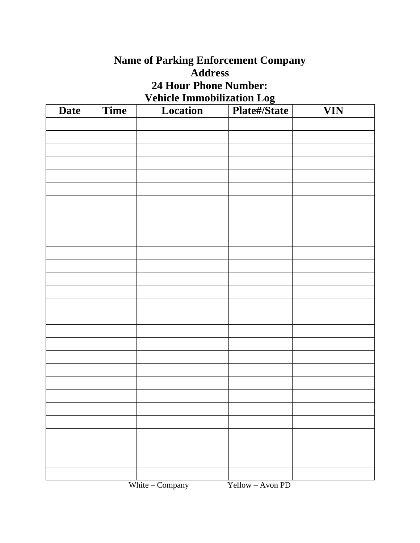## **Name of Parking Enforcement Company Address 24 Hour Phone Number: Vehicle Immobilization Log**

| <b>Date</b> | <b>Time</b> | Location        | Plate#/State     | <b>VIN</b> |
|-------------|-------------|-----------------|------------------|------------|
|             |             |                 |                  |            |
|             |             |                 |                  |            |
|             |             |                 |                  |            |
|             |             |                 |                  |            |
|             |             |                 |                  |            |
|             |             |                 |                  |            |
|             |             |                 |                  |            |
|             |             |                 |                  |            |
|             |             |                 |                  |            |
|             |             |                 |                  |            |
|             |             |                 |                  |            |
|             |             |                 |                  |            |
|             |             |                 |                  |            |
|             |             |                 |                  |            |
|             |             |                 |                  |            |
|             |             |                 |                  |            |
|             |             |                 |                  |            |
|             |             |                 |                  |            |
|             |             |                 |                  |            |
|             |             |                 |                  |            |
|             |             |                 |                  |            |
|             |             |                 |                  |            |
|             |             |                 |                  |            |
|             |             |                 |                  |            |
|             |             |                 |                  |            |
|             |             |                 |                  |            |
|             |             |                 |                  |            |
|             |             | White - Company | Yellow - Avon PD |            |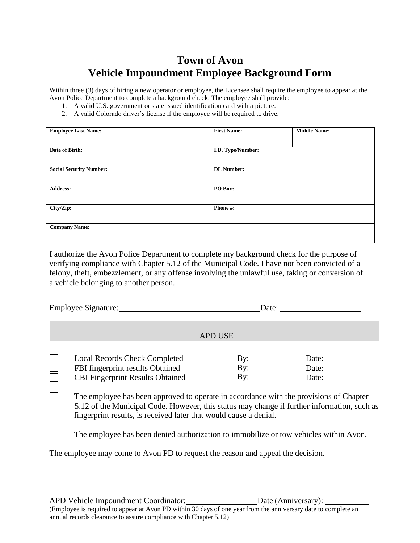## **Town of Avon Vehicle Impoundment Employee Background Form**

Within three (3) days of hiring a new operator or employee, the Licensee shall require the employee to appear at the Avon Police Department to complete a background check. The employee shall provide:

- 1. A valid U.S. government or state issued identification card with a picture.
- 2. A valid Colorado driver's license if the employee will be required to drive.

| <b>Employee Last Name:</b>     | <b>First Name:</b> | <b>Middle Name:</b> |
|--------------------------------|--------------------|---------------------|
|                                |                    |                     |
| Date of Birth:                 | I.D. Type/Number:  |                     |
|                                |                    |                     |
| <b>Social Security Number:</b> | <b>DL</b> Number:  |                     |
|                                |                    |                     |
| <b>Address:</b>                | PO Box:            |                     |
|                                |                    |                     |
| City/Zip:                      | Phone#:            |                     |
|                                |                    |                     |
| <b>Company Name:</b>           |                    |                     |
|                                |                    |                     |

I authorize the Avon Police Department to complete my background check for the purpose of verifying compliance with Chapter 5.12 of the Municipal Code. I have not been convicted of a felony, theft, embezzlement, or any offense involving the unlawful use, taking or conversion of a vehicle belonging to another person.

| <b>Employee Signature:</b> |                                                                                                                                                                                                                                                            | Date:      |                |  |  |  |
|----------------------------|------------------------------------------------------------------------------------------------------------------------------------------------------------------------------------------------------------------------------------------------------------|------------|----------------|--|--|--|
|                            | <b>APD USE</b>                                                                                                                                                                                                                                             |            |                |  |  |  |
|                            | <b>Local Records Check Completed</b><br>FBI fingerprint results Obtained                                                                                                                                                                                   | By:<br>By: | Date:<br>Date: |  |  |  |
|                            | <b>CBI Fingerprint Results Obtained</b>                                                                                                                                                                                                                    | By:        | Date:          |  |  |  |
|                            | The employee has been approved to operate in accordance with the provisions of Chapter<br>5.12 of the Municipal Code. However, this status may change if further information, such as<br>fingerprint results, is received later that would cause a denial. |            |                |  |  |  |
|                            | The employee has been denied authorization to immobilize or tow vehicles within Avon.                                                                                                                                                                      |            |                |  |  |  |
|                            | The employee may come to Avon PD to request the reason and appeal the decision.                                                                                                                                                                            |            |                |  |  |  |